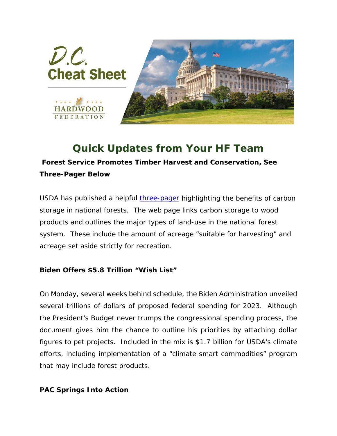

## *Quick Updates from Your HF Team*

**Forest Service Promotes Timber Harvest and Conservation,** *See Three-Pager Below*

USDA has published a helpful [three-pager](http://hardwood.linksto.net/ls/click?upn=VFn2IGkATPpsWYJ5qqpm8ZwCo2WdtcMNDOUj5hEr30XKwzwGQysTHQxmNDfjancwchK8aetqBj0JJ-2FyBBzdaGBLOY628butR73fCq76wDvW0NhK4ZQZYeTGcPsZJZFGSNtz0_DfShkWCAhoLGP-2FJNrdlPJdV-2FLULhdq7A2Mns4NO8kAbKoy2hBWCjup-2FdSJ4mtav3ZPDAMj5Um-2FlQWwL8173ujfkLYuprIvICP7LTiIBGhc40uZg-2B7tcutuXjAqtKCG9Q-2FDXvgD2rXYN-2BVIdBaAICBGsnI0IIbKS-2BcUP9lzHtRuv9bUZQCJrpekObEyaJSRDCV8P79LyJLEm2Lrqs3-2FI29i-2Bcu864XkhPIZY3XGUxOKWrwVnHWzbNO3vxopspqcQHpI-2BIG2LR45vjfRRLslNX-2Bp5rBfQa5-2BbX4GF3BC15EqPPVLbDjbfwFV1gX0Yaywy2Gk7rCtVmMfjL-2F7loABKGOiAxCAvK8vbYrZ7UzNZWOLY-3D) highlighting the benefits of carbon storage in national forests. The web page links carbon storage to wood products and outlines the major types of land-use in the national forest system. These include the amount of acreage "suitable for harvesting" and acreage set aside strictly for recreation.

## **Biden Offers \$5.8 Trillion "Wish List"**

On Monday, several weeks behind schedule, the Biden Administration unveiled several trillions of dollars of proposed federal spending for 2023. Although the President's Budget never trumps the congressional spending process, the document gives him the chance to outline his priorities by attaching dollar figures to pet projects. Included in the mix is \$1.7 billion for USDA's climate efforts, including implementation of a "climate smart commodities" program that may include forest products.

## **PAC Springs Into Action**